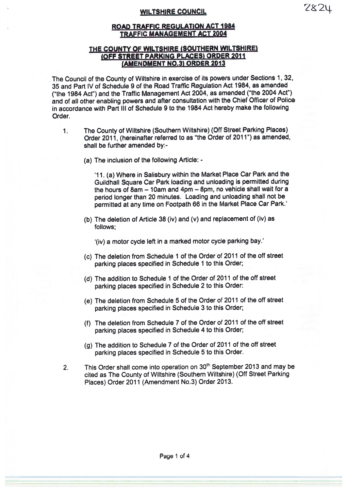### WILTSHIRE COUNCIL

### THE COUNTY OF WILTSHIRE (SOUTHERN WILTSHIRE) (OFF STREET PARKING PLACES) ORDER <sup>2011</sup> (AMENDMENT NO.3) ORDER 2013

The Council of the County of Wiltshire in exercise of its powers under Sections 1, 32, 35 and Part IV of Schedule <sup>9</sup> of the Road Traffic Regulation Act 1984, as amended ("the <sup>1984</sup> Act") and the Traffic Management Act 2004, as amended ("the <sup>2004</sup> Act") and of all other enabling powers and after consultation with the Chief Officer of Police in accordance with Part III of Schedule 9 to the 1984 Act hereby make the following Order.

- The County of Wiltshire (Southern Wiltshire) (Off Street Parking Places)  $1<sub>1</sub>$ Order 2011, (hereinafter referred to as "the Order of 2011") as amended, shall be further amended by:-
	- (a) The inclusion of the following Article: -

'11. (a) Where in Salisbury within the Market Place Car Park and the Guildhall Square Cat Park loading and unloading is permitted during the hours of  $8am - 10am$  and  $4pm - 8pm$ , no vehicle shall wait for a period longer than <sup>20</sup> minutes. Loading and unloading shall not be permitted at any time on Footpath <sup>66</sup> in the Market Place Car Park.'

(b) The deletion of Article <sup>38</sup> (iv) and (v) and replacement of (iv) as follows;

'(iv) <sup>a</sup> motor cycle left in <sup>a</sup> marked motor cycle parking bay.'

- (C) The deletion from Schedule 1 of the Order of 2011 of the off street parking <sup>p</sup>laces specified in Schedule <sup>1</sup> to this Order;
- (d) The addition to Schedule <sup>1</sup> of the Order of 2011 of the off street parking <sup>p</sup>laces specified in Schedule <sup>2</sup> to this Order:
- (e) The deletion from Schedule <sup>5</sup> of the Order of <sup>2011</sup> of the off street parking <sup>p</sup>laces specified in Schedule <sup>3</sup> to this Order;
- (f) The deletion from Schedule <sup>7</sup> of the Order of <sup>2011</sup> of the off street parking <sup>p</sup>laces specified in Schedule <sup>4</sup> to this Order;
- (g) The addition to Schedule <sup>7</sup> of the Order of <sup>2011</sup> of the off street parking <sup>p</sup>laces specified in Schedule <sup>5</sup> to this Order.
- 2. This Order shall come into operation on 30<sup>th</sup> September 2013 and may be cited as The County of Wiltshire (Southern Wiltshire) (Off Street Parking Places) Order 2011 (Amendment No.3) Order 2013.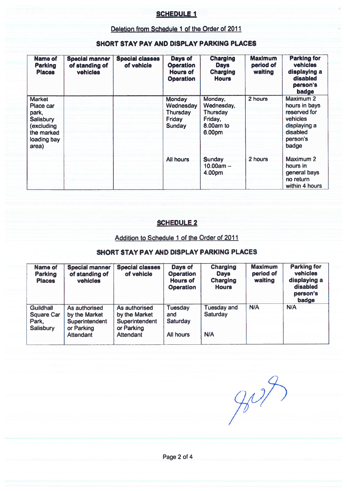## SCHEDULE I

### Deletion from Schedule 1 of the Order of 2011

| Name of<br>Parking<br><b>Places</b>                                                                         | <b>Special manner</b><br>of standing of<br>vehicles | <b>Special classes</b><br>of vehicle | Days of<br><b>Operation</b><br>Hours of<br><b>Operation</b>       | <b>Charging</b><br><b>Days</b><br>Charging<br><b>Hours</b>          | <b>Maximum</b><br>period of<br>waiting | <b>Parking for</b><br>vehicles<br>displaying a<br>disabled<br>person's<br>badge                         |
|-------------------------------------------------------------------------------------------------------------|-----------------------------------------------------|--------------------------------------|-------------------------------------------------------------------|---------------------------------------------------------------------|----------------------------------------|---------------------------------------------------------------------------------------------------------|
| <b>Market</b><br>Place car<br>park,<br><b>Salisbury</b><br>(excluding<br>the marked<br>loading bay<br>area) |                                                     |                                      | <b>Monday</b><br>Wednesday<br>Thursday<br>Friday<br><b>Sunday</b> | Monday,<br>Wednesday,<br>Thursday<br>Friday,<br>8.00am to<br>6.00pm | 2 hours                                | Maximum 2<br>hours in bays<br>reserved for<br>vehicles<br>displaying a<br>disabled<br>person's<br>badge |
|                                                                                                             |                                                     |                                      | All hours                                                         | Sunday<br>$10.00am -$<br>4.00pm                                     | 2 hours                                | Maximum 2<br>hours in<br>general bays<br>no return<br>within 4 hours                                    |

## SHORT STAY PAY AND DISPLAY PARKING PLACES

## SCHEDULE 2

#### Addition to Schedule 1 of the Order of 2011

### SHORT STAY PAY AND DISPLAY PARKING PLACES

| <b>Name of</b><br>Parking<br><b>Places</b>                         | <b>Special manner</b><br>of standing of<br>vehicles            | <b>Special classes</b><br>of vehicle                           | Days of<br><b>Operation</b><br><b>Hours of</b><br><b>Operation</b> | <b>Charging</b><br><b>Days</b><br><b>Charging</b><br><b>Hours</b> | <b>Maximum</b><br>period of<br>waiting | <b>Parking for</b><br>vehicles<br>displaying a<br>disabled<br>person's<br>badge |
|--------------------------------------------------------------------|----------------------------------------------------------------|----------------------------------------------------------------|--------------------------------------------------------------------|-------------------------------------------------------------------|----------------------------------------|---------------------------------------------------------------------------------|
| <b>Guildhall</b><br><b>Square Car</b><br>Park,<br><b>Salisbury</b> | As authorised<br>by the Market<br>Superintendent<br>or Parking | As authorised<br>by the Market<br>Superintendent<br>or Parking | <b>Tuesday</b><br>and<br>Saturday                                  | <b>Tuesday and</b><br>Saturday                                    | N/A                                    | N/A                                                                             |
|                                                                    | <b>Attendant</b>                                               | Attendant                                                      | All hours                                                          | <b>N/A</b>                                                        |                                        |                                                                                 |

 $907$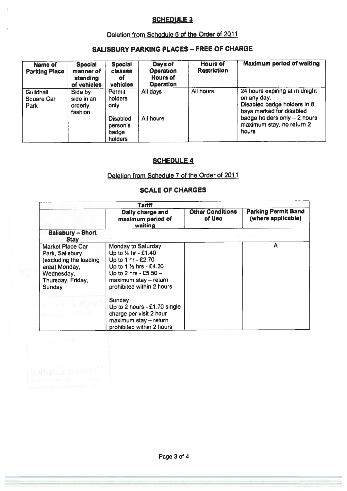# SCHEDULE 3

# Deletion from Schedule 5 of the Order of <sup>2011</sup>

# SALISBURY PARKING PLACES - FREE OF CHARGE

| Name of<br><b>Parking Place</b>        | <b>Special</b><br>manner of<br>standing<br>of vehicles | <b>Special</b><br><b>classes</b><br>of<br>vehicles                           | Days of<br><b>Operation</b><br><b>Hours of</b><br><b>Operation</b> | <b>Hours of</b><br><b>Restriction</b> | <b>Maximum period of waiting</b>                                                                                                                                               |
|----------------------------------------|--------------------------------------------------------|------------------------------------------------------------------------------|--------------------------------------------------------------------|---------------------------------------|--------------------------------------------------------------------------------------------------------------------------------------------------------------------------------|
| Guildhall<br><b>Square Car</b><br>Park | Side by<br>side in an<br>orderly<br>fashion            | Permit<br>holders<br>only<br><b>Disabled</b><br>person's<br>badge<br>holders | All days<br>All hours                                              | All hours                             | 24 hours expiring at midnight<br>on any day.<br>Disabled badge holders in 8<br>bays marked for disabled<br>badge holders only $-2$ hours<br>maximum stay, no return 2<br>hours |

# **SCHEDULE 4**

# Deletion from Schedule 7 of the Order of 2011

# SCALE OF CHARGES

|                                                                                                                                    | Tariff                                                                                                                                                                                                    |                                   |                                                  |
|------------------------------------------------------------------------------------------------------------------------------------|-----------------------------------------------------------------------------------------------------------------------------------------------------------------------------------------------------------|-----------------------------------|--------------------------------------------------|
|                                                                                                                                    | Daily charge and<br>maximum period of<br>waiting                                                                                                                                                          | <b>Other Conditions</b><br>of Use | <b>Parking Permit Band</b><br>(where applicable) |
| <b>Salisbury - Short</b><br><b>Stav</b>                                                                                            |                                                                                                                                                                                                           |                                   |                                                  |
| <b>Market Place Car</b><br>Park, Salisbury<br>(excluding the loading<br>area) Monday,<br>Wednesday,<br>Thursday, Friday,<br>Sunday | <b>Monday to Saturday</b><br>Up to $\frac{1}{2}$ hr - £1.40<br>Up to 1 hr - £2.70<br>Up to 1 $\frac{1}{2}$ hrs - £4.20<br>Up to 2 hrs - £5.50 -<br>$maximum$ stay $-$ return<br>prohibited within 2 hours |                                   | A                                                |
| eribbio and                                                                                                                        | Sunday<br>Up to 2 hours - £1.70 single<br>charge per visit 2 hour<br>maximum stay - return<br>prohibited within 2 hours                                                                                   |                                   |                                                  |